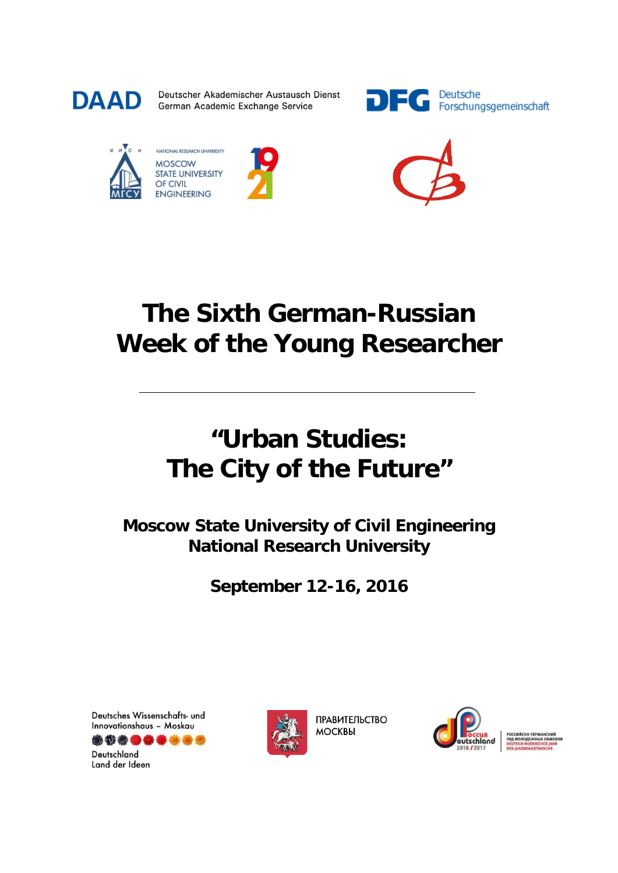

Deutscher Akademischer Austausch Dienst German Academic Exchange Service





NATIONAL RESEARCH UNIVERSITY **MOSCOW STATE UNIVERSITY** OF CIVIL **ENGINEERING** 





## **The Sixth German-Russian Week of the Young Researcher**

# **"Urban Studies: The City of the Future"**

**Moscow State University of Civil Engineering National Research University**

**September 12-16, 2016**

Deutsches Wissenschafts- und Innovationshaus - Moskau



Deutschland Land der Ideen



**ПРАВИТЕЛЬСТВО МОСКВЫ** 

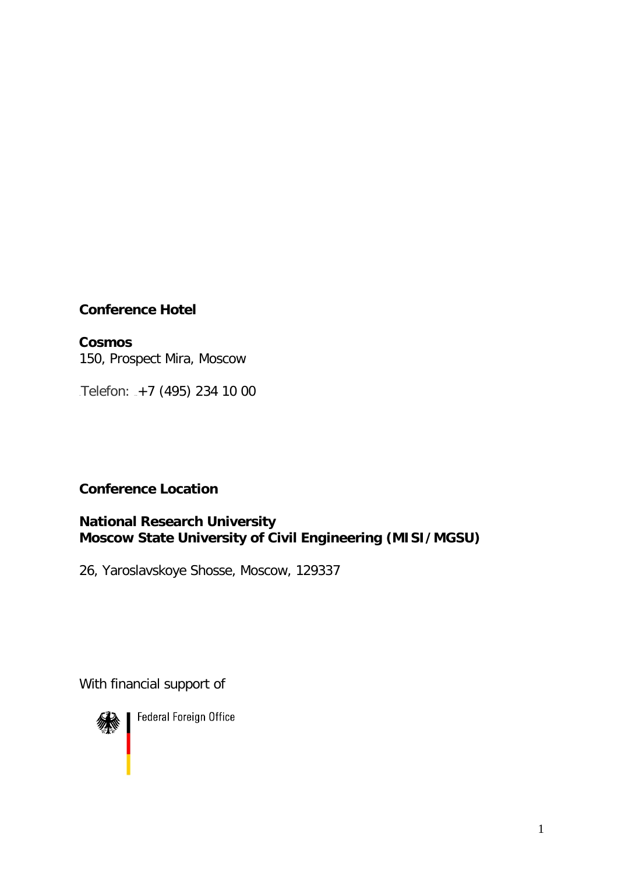### **Conference Hotel**

**Сosmos** 150, Prospect Mira, Moscow

Telefon: <sub>-+7</sub> (495) 234 10 00

### **Conference Location**

#### **National Research University Moscow State University of Civil Engineering (MISI/MGSU)**

26, Yaroslavskoye Shosse, Moscow, 129337

With financial support of



**Federal Foreign Office**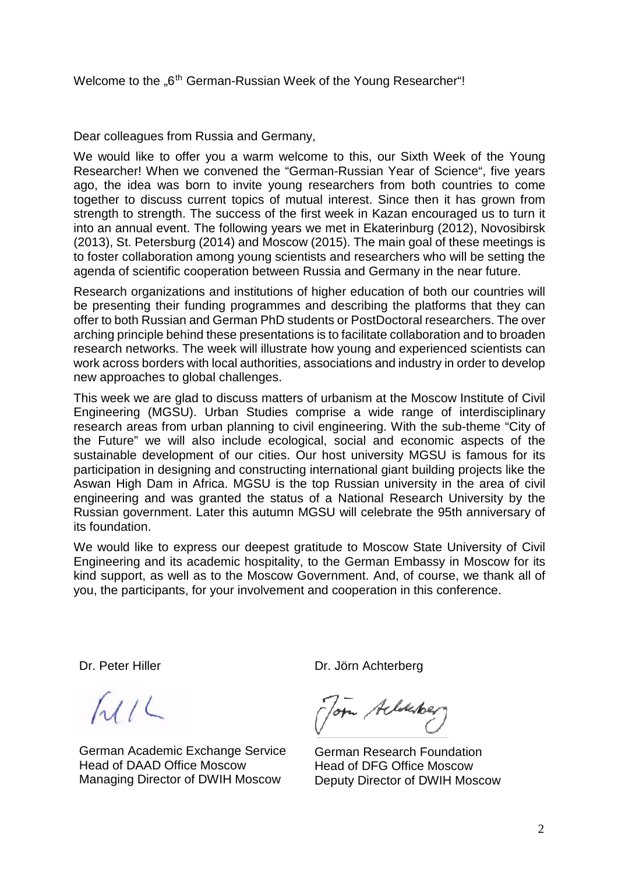Dear colleagues from Russia and Germany,

We would like to offer you a warm welcome to this, our Sixth Week of the Young Researcher! When we convened the "German-Russian Year of Science", five years ago, the idea was born to invite young researchers from both countries to come together to discuss current topics of mutual interest. Since then it has grown from strength to strength. The success of the first week in Kazan encouraged us to turn it into an annual event. The following years we met in Ekaterinburg (2012), Novosibirsk (2013), St. Petersburg (2014) and Moscow (2015). The main goal of these meetings is to foster collaboration among young scientists and researchers who will be setting the agenda of scientific cooperation between Russia and Germany in the near future.

Research organizations and institutions of higher education of both our countries will be presenting their funding programmes and describing the platforms that they can offer to both Russian and German PhD students or PostDoctoral researchers. The over arching principle behind these presentations is to facilitate collaboration and to broaden research networks. The week will illustrate how young and experienced scientists can work across borders with local authorities, associations and industry in order to develop new approaches to global challenges.

This week we are glad to discuss matters of urbanism at the Moscow Institute of Civil Engineering (MGSU). Urban Studies comprise a wide range of interdisciplinary research areas from urban planning to civil engineering. With the sub-theme "City of the Future" we will also include ecological, social and economic aspects of the sustainable development of our cities. Our host university MGSU is famous for its participation in designing and constructing international giant building projects like the Aswan High Dam in Africa. MGSU is the top Russian university in the area of civil engineering and was granted the status of a National Research University by the Russian government. Later this autumn MGSU will celebrate the 95th anniversary of its foundation.

We would like to express our deepest gratitude to Moscow State University of Civil Engineering and its academic hospitality, to the German Embassy in Moscow for its kind support, as well as to the Moscow Government. And, of course, we thank all of you, the participants, for your involvement and cooperation in this conference.

Dr. Peter Hiller

 $MLL$ 

German Academic Exchange Service Head of DAAD Office Moscow Managing Director of DWIH Moscow

Dr. Jörn Achterberg

Tom Acliketer

German Research Foundation Head of DFG Office Moscow Deputy Director of DWIH Moscow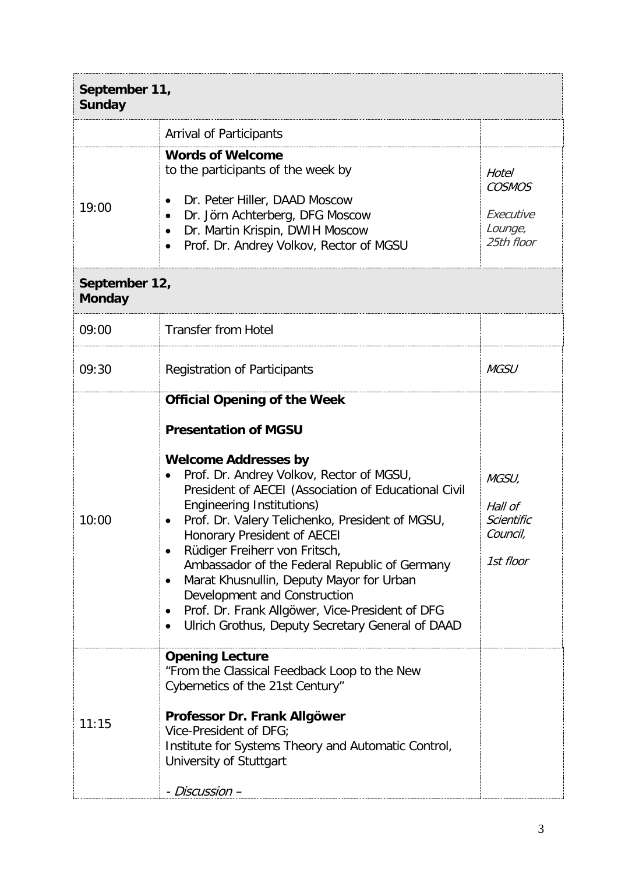| September 11,<br><b>Sunday</b> |                                                                                                                                                                                                                                                                                                                                                                                                                                                                                                                                                                                                                              |                                                              |  |
|--------------------------------|------------------------------------------------------------------------------------------------------------------------------------------------------------------------------------------------------------------------------------------------------------------------------------------------------------------------------------------------------------------------------------------------------------------------------------------------------------------------------------------------------------------------------------------------------------------------------------------------------------------------------|--------------------------------------------------------------|--|
|                                | <b>Arrival of Participants</b>                                                                                                                                                                                                                                                                                                                                                                                                                                                                                                                                                                                               |                                                              |  |
| 19:00                          | <b>Words of Welcome</b><br>to the participants of the week by<br>Dr. Peter Hiller, DAAD Moscow<br>$\bullet$<br>Dr. Jörn Achterberg, DFG Moscow<br>Dr. Martin Krispin, DWIH Moscow<br>$\bullet$<br>Prof. Dr. Andrey Volkov, Rector of MGSU<br>$\bullet$                                                                                                                                                                                                                                                                                                                                                                       | Hotel<br><b>COSMOS</b><br>Executive<br>Lounge,<br>25th floor |  |
| <b>Monday</b>                  | September 12,                                                                                                                                                                                                                                                                                                                                                                                                                                                                                                                                                                                                                |                                                              |  |
| 09:00                          | <b>Transfer from Hotel</b>                                                                                                                                                                                                                                                                                                                                                                                                                                                                                                                                                                                                   |                                                              |  |
| 09:30                          | <b>Registration of Participants</b>                                                                                                                                                                                                                                                                                                                                                                                                                                                                                                                                                                                          | <b>MGSU</b>                                                  |  |
| 10:00                          | <b>Official Opening of the Week</b><br><b>Presentation of MGSU</b><br><b>Welcome Addresses by</b><br>Prof. Dr. Andrey Volkov, Rector of MGSU,<br>President of AECEI (Association of Educational Civil<br><b>Engineering Institutions)</b><br>Prof. Dr. Valery Telichenko, President of MGSU,<br>Honorary President of AECEI<br>Rüdiger Freiherr von Fritsch,<br>٠<br>Ambassador of the Federal Republic of Germany<br>Marat Khusnullin, Deputy Mayor for Urban<br>٠<br>Development and Construction<br>Prof. Dr. Frank Allgöwer, Vice-President of DFG<br>$\bullet$<br>Ulrich Grothus, Deputy Secretary General of DAAD<br>٠ | MGSU,<br>Hall of<br>Scientific<br>Council,<br>1st floor      |  |
| 11:15                          | <b>Opening Lecture</b><br>"From the Classical Feedback Loop to the New<br>Cybernetics of the 21st Century"<br>Professor Dr. Frank Allgöwer<br>Vice-President of DFG;<br>Institute for Systems Theory and Automatic Control,<br>University of Stuttgart<br>- Discussion –                                                                                                                                                                                                                                                                                                                                                     |                                                              |  |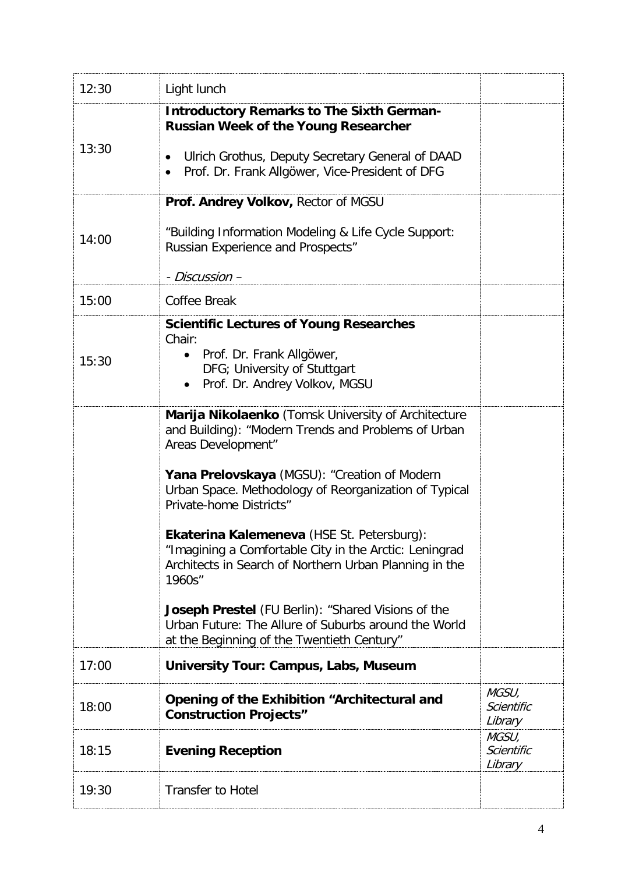| 12:30 | Light lunch                                                                                                                                                                                                                                                                                                                                                                                                                                                                                                                                                                                                         |                                |
|-------|---------------------------------------------------------------------------------------------------------------------------------------------------------------------------------------------------------------------------------------------------------------------------------------------------------------------------------------------------------------------------------------------------------------------------------------------------------------------------------------------------------------------------------------------------------------------------------------------------------------------|--------------------------------|
| 13:30 | <b>Introductory Remarks to The Sixth German-</b><br><b>Russian Week of the Young Researcher</b><br>Ulrich Grothus, Deputy Secretary General of DAAD<br>Prof. Dr. Frank Allgöwer, Vice-President of DFG                                                                                                                                                                                                                                                                                                                                                                                                              |                                |
| 14:00 | Prof. Andrey Volkov, Rector of MGSU<br>"Building Information Modeling & Life Cycle Support:<br>Russian Experience and Prospects"<br>- Discussion –                                                                                                                                                                                                                                                                                                                                                                                                                                                                  |                                |
| 15:00 | Coffee Break                                                                                                                                                                                                                                                                                                                                                                                                                                                                                                                                                                                                        |                                |
| 15:30 | <b>Scientific Lectures of Young Researches</b><br>Chair:<br>Prof. Dr. Frank Allgöwer,<br>$\bullet$<br>DFG; University of Stuttgart<br>Prof. Dr. Andrey Volkov, MGSU<br>$\bullet$                                                                                                                                                                                                                                                                                                                                                                                                                                    |                                |
|       | Marija Nikolaenko (Tomsk University of Architecture<br>and Building): "Modern Trends and Problems of Urban<br>Areas Development"<br>Yana Prelovskaya (MGSU): "Creation of Modern<br>Urban Space. Methodology of Reorganization of Typical<br>Private-home Districts"<br>Ekaterina Kalemeneva (HSE St. Petersburg):<br>"Imagining a Comfortable City in the Arctic: Leningrad<br>Architects in Search of Northern Urban Planning in the<br>1960s"<br><b>Joseph Prestel</b> (FU Berlin): "Shared Visions of the<br>Urban Future: The Allure of Suburbs around the World<br>at the Beginning of the Twentieth Century" |                                |
| 17:00 | <b>University Tour: Campus, Labs, Museum</b>                                                                                                                                                                                                                                                                                                                                                                                                                                                                                                                                                                        |                                |
| 18:00 | Opening of the Exhibition "Architectural and<br><b>Construction Projects"</b>                                                                                                                                                                                                                                                                                                                                                                                                                                                                                                                                       | MGSU,<br>Scientific<br>Library |
| 18:15 | <b>Evening Reception</b>                                                                                                                                                                                                                                                                                                                                                                                                                                                                                                                                                                                            | MGSU,<br>Scientific<br>Library |
| 19:30 | <b>Transfer to Hotel</b>                                                                                                                                                                                                                                                                                                                                                                                                                                                                                                                                                                                            |                                |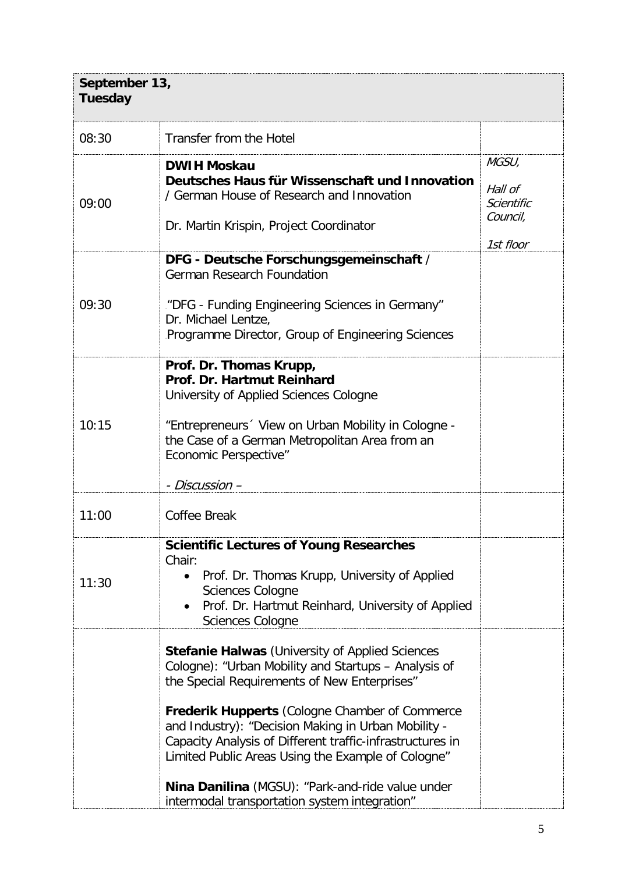| September 13,<br><b>Tuesday</b> |                                                                                                                                                                                                                                                                                                                                                                                                                                                                                                 |                                                         |
|---------------------------------|-------------------------------------------------------------------------------------------------------------------------------------------------------------------------------------------------------------------------------------------------------------------------------------------------------------------------------------------------------------------------------------------------------------------------------------------------------------------------------------------------|---------------------------------------------------------|
| 08:30                           | Transfer from the Hotel                                                                                                                                                                                                                                                                                                                                                                                                                                                                         |                                                         |
| 09:00                           | <b>DWIH Moskau</b><br>Deutsches Haus für Wissenschaft und Innovation<br>/ German House of Research and Innovation<br>Dr. Martin Krispin, Project Coordinator                                                                                                                                                                                                                                                                                                                                    | MGSU,<br>Hall of<br>Scientific<br>Council,<br>1st floor |
| 09:30                           | DFG - Deutsche Forschungsgemeinschaft /<br><b>German Research Foundation</b><br>"DFG - Funding Engineering Sciences in Germany"<br>Dr. Michael Lentze,<br>Programme Director, Group of Engineering Sciences                                                                                                                                                                                                                                                                                     |                                                         |
| 10:15                           | Prof. Dr. Thomas Krupp,<br>Prof. Dr. Hartmut Reinhard<br>University of Applied Sciences Cologne<br>"Entrepreneurs 'View on Urban Mobility in Cologne -<br>the Case of a German Metropolitan Area from an<br><b>Economic Perspective"</b><br>- Discussion –                                                                                                                                                                                                                                      |                                                         |
| 11:00                           | <b>Coffee Break</b>                                                                                                                                                                                                                                                                                                                                                                                                                                                                             |                                                         |
| 11:30                           | <b>Scientific Lectures of Young Researches</b><br>Chair:<br>Prof. Dr. Thomas Krupp, University of Applied<br>$\bullet$<br><b>Sciences Cologne</b><br>Prof. Dr. Hartmut Reinhard, University of Applied<br><b>Sciences Cologne</b>                                                                                                                                                                                                                                                               |                                                         |
|                                 | <b>Stefanie Halwas</b> (University of Applied Sciences<br>Cologne): "Urban Mobility and Startups - Analysis of<br>the Special Requirements of New Enterprises"<br>Frederik Hupperts (Cologne Chamber of Commerce<br>and Industry): "Decision Making in Urban Mobility -<br>Capacity Analysis of Different traffic-infrastructures in<br>Limited Public Areas Using the Example of Cologne"<br>Nina Danilina (MGSU): "Park-and-ride value under<br>intermodal transportation system integration" |                                                         |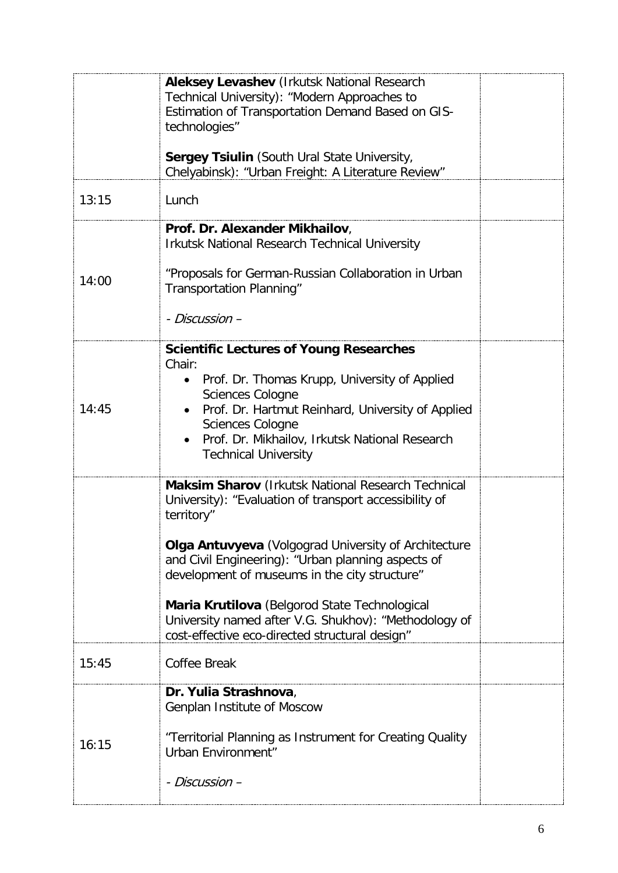|       | <b>Aleksey Levashev (Irkutsk National Research</b><br>Technical University): "Modern Approaches to<br>Estimation of Transportation Demand Based on GIS-<br>technologies"                                                                                                                                                 |  |
|-------|--------------------------------------------------------------------------------------------------------------------------------------------------------------------------------------------------------------------------------------------------------------------------------------------------------------------------|--|
|       | <b>Sergey Tsiulin</b> (South Ural State University,<br>Chelyabinsk): "Urban Freight: A Literature Review"                                                                                                                                                                                                                |  |
| 13:15 | Lunch                                                                                                                                                                                                                                                                                                                    |  |
|       | Prof. Dr. Alexander Mikhailov,<br><b>Irkutsk National Research Technical University</b>                                                                                                                                                                                                                                  |  |
| 14:00 | "Proposals for German-Russian Collaboration in Urban<br>Transportation Planning"                                                                                                                                                                                                                                         |  |
|       | - Discussion –                                                                                                                                                                                                                                                                                                           |  |
| 14:45 | <b>Scientific Lectures of Young Researches</b><br>Chair:<br>Prof. Dr. Thomas Krupp, University of Applied<br>$\bullet$<br>Sciences Cologne<br>Prof. Dr. Hartmut Reinhard, University of Applied<br>$\bullet$<br><b>Sciences Cologne</b><br>Prof. Dr. Mikhailov, Irkutsk National Research<br><b>Technical University</b> |  |
|       | Maksim Sharov (Irkutsk National Research Technical<br>University): "Evaluation of transport accessibility of<br>territory"                                                                                                                                                                                               |  |
|       | Olga Antuvyeva (Volgograd University of Architecture<br>and Civil Engineering): "Urban planning aspects of<br>development of museums in the city structure"                                                                                                                                                              |  |
|       | Maria Krutilova (Belgorod State Technological<br>University named after V.G. Shukhov): "Methodology of<br>cost-effective eco-directed structural design"                                                                                                                                                                 |  |
| 15:45 | Coffee Break                                                                                                                                                                                                                                                                                                             |  |
|       | Dr. Yulia Strashnova,<br>Genplan Institute of Moscow                                                                                                                                                                                                                                                                     |  |
| 16:15 | "Territorial Planning as Instrument for Creating Quality<br>Urban Environment"                                                                                                                                                                                                                                           |  |
|       | - Discussion –                                                                                                                                                                                                                                                                                                           |  |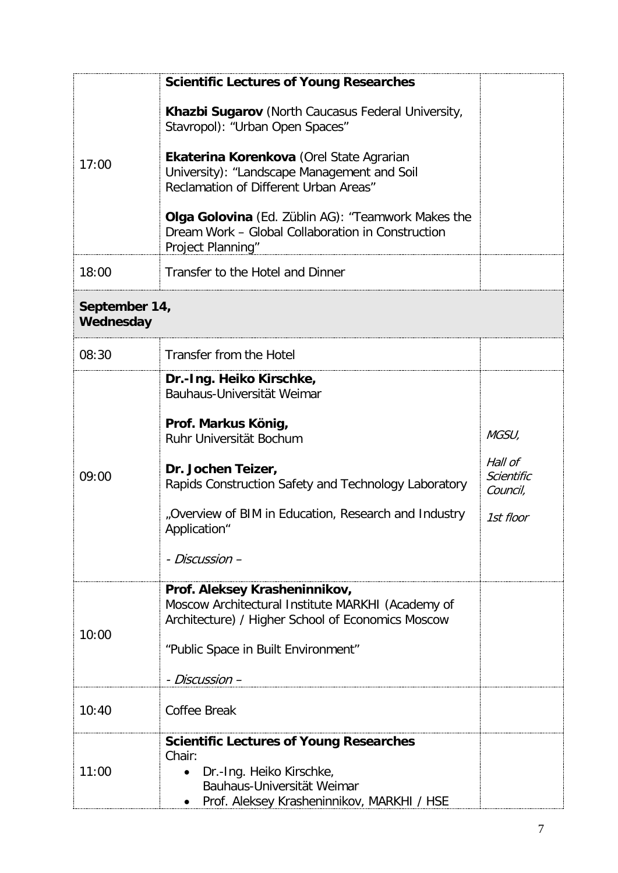|                            | <b>Scientific Lectures of Young Researches</b>                                                                                                                                                                                                                                  |                                          |
|----------------------------|---------------------------------------------------------------------------------------------------------------------------------------------------------------------------------------------------------------------------------------------------------------------------------|------------------------------------------|
| 17:00                      | Khazbi Sugarov (North Caucasus Federal University,<br>Stavropol): "Urban Open Spaces"<br>Ekaterina Korenkova (Orel State Agrarian<br>University): "Landscape Management and Soil<br>Reclamation of Different Urban Areas"<br>Olga Golovina (Ed. Züblin AG): "Teamwork Makes the |                                          |
|                            | Dream Work - Global Collaboration in Construction<br>Project Planning"                                                                                                                                                                                                          |                                          |
| 18:00                      | Transfer to the Hotel and Dinner                                                                                                                                                                                                                                                |                                          |
| September 14,<br>Wednesday |                                                                                                                                                                                                                                                                                 |                                          |
| 08:30                      | Transfer from the Hotel                                                                                                                                                                                                                                                         |                                          |
|                            | Dr.-Ing. Heiko Kirschke,<br>Bauhaus-Universität Weimar<br>Prof. Markus König,                                                                                                                                                                                                   |                                          |
|                            | Ruhr Universität Bochum                                                                                                                                                                                                                                                         | MGSU,                                    |
| 09:00                      | Dr. Jochen Teizer,<br>Rapids Construction Safety and Technology Laboratory                                                                                                                                                                                                      | Hall of<br><b>Scientific</b><br>Council, |
|                            | "Overview of BIM in Education, Research and Industry<br>Application <sup>®</sup>                                                                                                                                                                                                | 1st floor                                |
|                            | - Discussion –                                                                                                                                                                                                                                                                  |                                          |
| 10:00                      | Prof. Aleksey Krasheninnikov,<br>Moscow Architectural Institute MARKHI (Academy of                                                                                                                                                                                              |                                          |
|                            | Architecture) / Higher School of Economics Moscow                                                                                                                                                                                                                               |                                          |
|                            | "Public Space in Built Environment"                                                                                                                                                                                                                                             |                                          |
|                            | - Discussion –                                                                                                                                                                                                                                                                  |                                          |
| 10:40                      | <b>Coffee Break</b>                                                                                                                                                                                                                                                             |                                          |
| 11:00                      | <b>Scientific Lectures of Young Researches</b><br>Chair:                                                                                                                                                                                                                        |                                          |
|                            | Dr.-Ing. Heiko Kirschke,<br>$\bullet$<br>Bauhaus-Universität Weimar                                                                                                                                                                                                             |                                          |
|                            | Prof. Aleksey Krasheninnikov, MARKHI / HSE                                                                                                                                                                                                                                      |                                          |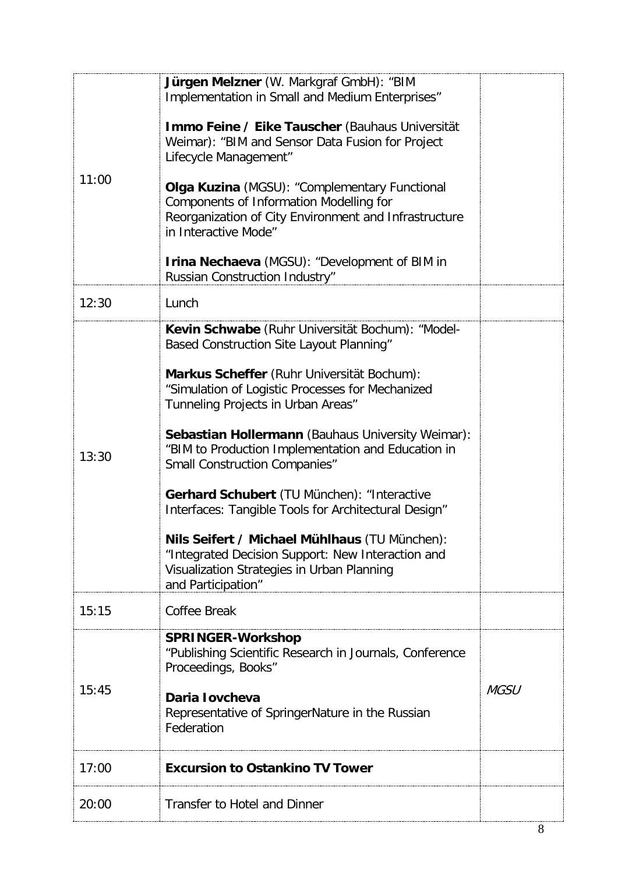| 11:00 | Jürgen Melzner (W. Markgraf GmbH): "BIM<br>Implementation in Small and Medium Enterprises"<br>Immo Feine / Eike Tauscher (Bauhaus Universität<br>Weimar): "BIM and Sensor Data Fusion for Project<br>Lifecycle Management"<br>Olga Kuzina (MGSU): "Complementary Functional<br>Components of Information Modelling for<br>Reorganization of City Environment and Infrastructure<br>in Interactive Mode"<br><b>Irina Nechaeva</b> (MGSU): "Development of BIM in<br>Russian Construction Industry"                                                                                                                                                                        |             |
|-------|--------------------------------------------------------------------------------------------------------------------------------------------------------------------------------------------------------------------------------------------------------------------------------------------------------------------------------------------------------------------------------------------------------------------------------------------------------------------------------------------------------------------------------------------------------------------------------------------------------------------------------------------------------------------------|-------------|
| 12:30 | Lunch                                                                                                                                                                                                                                                                                                                                                                                                                                                                                                                                                                                                                                                                    |             |
| 13:30 | Kevin Schwabe (Ruhr Universität Bochum): "Model-<br>Based Construction Site Layout Planning"<br>Markus Scheffer (Ruhr Universität Bochum):<br>"Simulation of Logistic Processes for Mechanized<br>Tunneling Projects in Urban Areas"<br>Sebastian Hollermann (Bauhaus University Weimar):<br>"BIM to Production Implementation and Education in<br><b>Small Construction Companies"</b><br>Gerhard Schubert (TU München): "Interactive<br>Interfaces: Tangible Tools for Architectural Design"<br>Nils Seifert / Michael Mühlhaus (TU München):<br>"Integrated Decision Support: New Interaction and<br>Visualization Strategies in Urban Planning<br>and Participation" |             |
| 15:15 | Coffee Break                                                                                                                                                                                                                                                                                                                                                                                                                                                                                                                                                                                                                                                             |             |
| 15:45 | <b>SPRINGER-Workshop</b><br>"Publishing Scientific Research in Journals, Conference<br>Proceedings, Books"<br>Daria lovcheva<br>Representative of SpringerNature in the Russian<br>Federation                                                                                                                                                                                                                                                                                                                                                                                                                                                                            | <b>MGSU</b> |
| 17:00 | <b>Excursion to Ostankino TV Tower</b>                                                                                                                                                                                                                                                                                                                                                                                                                                                                                                                                                                                                                                   |             |
| 20:00 | <b>Transfer to Hotel and Dinner</b>                                                                                                                                                                                                                                                                                                                                                                                                                                                                                                                                                                                                                                      |             |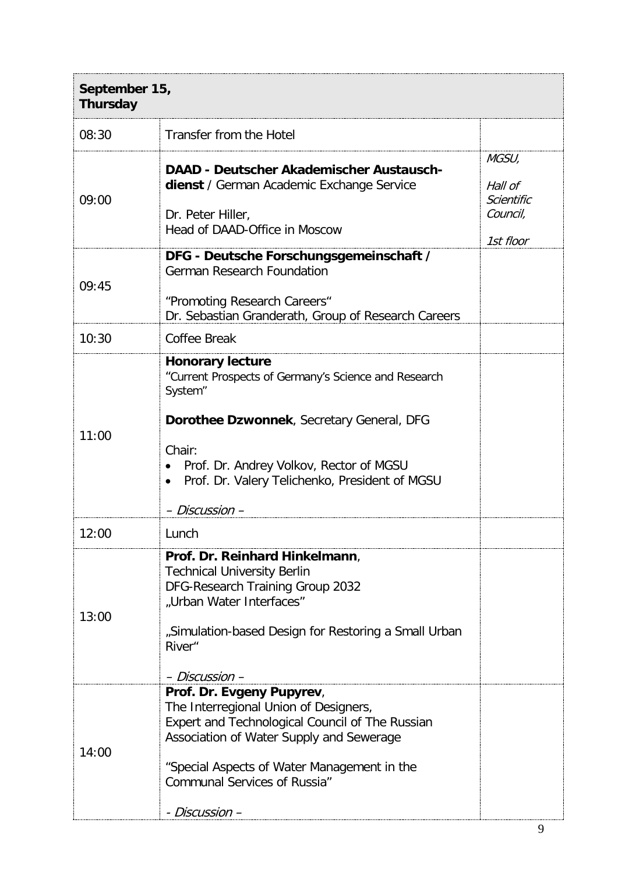| September 15,<br><b>Thursday</b> |                                                                                                                                                                                                                                                                           |                                                         |
|----------------------------------|---------------------------------------------------------------------------------------------------------------------------------------------------------------------------------------------------------------------------------------------------------------------------|---------------------------------------------------------|
| 08:30                            | Transfer from the Hotel                                                                                                                                                                                                                                                   |                                                         |
| 09:00                            | <b>DAAD - Deutscher Akademischer Austausch-</b><br>dienst / German Academic Exchange Service<br>Dr. Peter Hiller,<br>Head of DAAD-Office in Moscow                                                                                                                        | MGSU,<br>Hall of<br>Scientific<br>Council,<br>1st floor |
| 09:45                            | DFG - Deutsche Forschungsgemeinschaft /<br><b>German Research Foundation</b><br>"Promoting Research Careers"<br>Dr. Sebastian Granderath, Group of Research Careers                                                                                                       |                                                         |
| 10:30                            | Coffee Break                                                                                                                                                                                                                                                              |                                                         |
| 11:00                            | <b>Honorary lecture</b><br>"Current Prospects of Germany's Science and Research<br>System"<br>Dorothee Dzwonnek, Secretary General, DFG<br>Chair:<br>Prof. Dr. Andrey Volkov, Rector of MGSU<br>Prof. Dr. Valery Telichenko, President of MGSU<br>- Discussion -          |                                                         |
| 12:00                            | Lunch                                                                                                                                                                                                                                                                     |                                                         |
| 13:00                            | Prof. Dr. Reinhard Hinkelmann,<br><b>Technical University Berlin</b><br>DFG-Research Training Group 2032<br>"Urban Water Interfaces"<br>"Simulation-based Design for Restoring a Small Urban<br>River <sup>"</sup><br>– Discussion –                                      |                                                         |
| 14:00                            | Prof. Dr. Evgeny Pupyrev,<br>The Interregional Union of Designers,<br>Expert and Technological Council of The Russian<br>Association of Water Supply and Sewerage<br>"Special Aspects of Water Management in the<br><b>Communal Services of Russia"</b><br>- Discussion – |                                                         |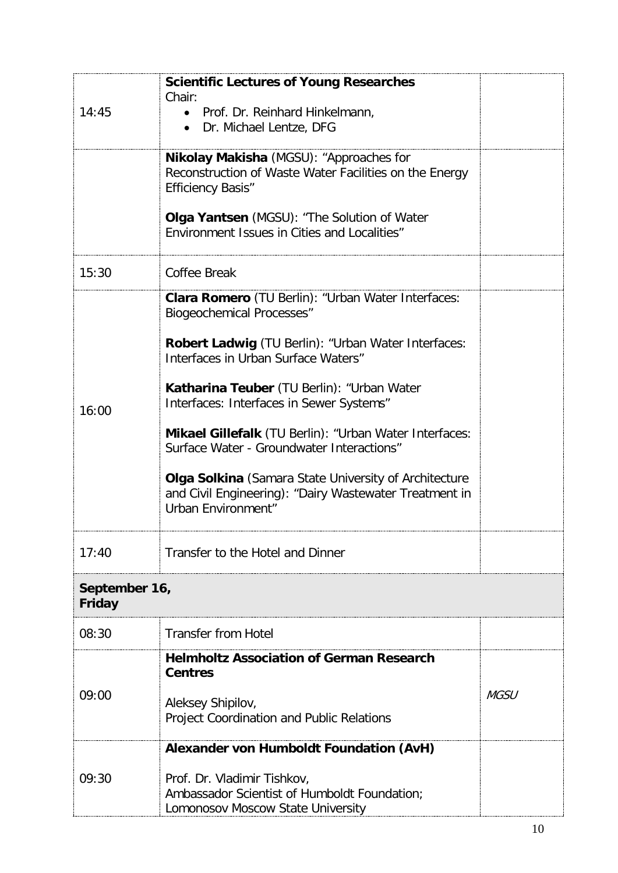| 14:45                   | <b>Scientific Lectures of Young Researches</b><br>Chair:<br>• Prof. Dr. Reinhard Hinkelmann,<br>• Dr. Michael Lentze, DFG                                                                                                                                                                                                                                                                                                                                                                                                             |             |  |
|-------------------------|---------------------------------------------------------------------------------------------------------------------------------------------------------------------------------------------------------------------------------------------------------------------------------------------------------------------------------------------------------------------------------------------------------------------------------------------------------------------------------------------------------------------------------------|-------------|--|
|                         | Nikolay Makisha (MGSU): "Approaches for<br>Reconstruction of Waste Water Facilities on the Energy<br><b>Efficiency Basis"</b>                                                                                                                                                                                                                                                                                                                                                                                                         |             |  |
|                         | Olga Yantsen (MGSU): "The Solution of Water<br>Environment Issues in Cities and Localities"                                                                                                                                                                                                                                                                                                                                                                                                                                           |             |  |
| 15:30                   | <b>Coffee Break</b>                                                                                                                                                                                                                                                                                                                                                                                                                                                                                                                   |             |  |
| 16:00                   | Clara Romero (TU Berlin): "Urban Water Interfaces:<br><b>Biogeochemical Processes"</b><br>Robert Ladwig (TU Berlin): "Urban Water Interfaces:<br>Interfaces in Urban Surface Waters"<br>Katharina Teuber (TU Berlin): "Urban Water<br>Interfaces: Interfaces in Sewer Systems"<br><b>Mikael Gillefalk</b> (TU Berlin): "Urban Water Interfaces:<br>Surface Water - Groundwater Interactions"<br>Olga Solkina (Samara State University of Architecture<br>and Civil Engineering): "Dairy Wastewater Treatment in<br>Urban Environment" |             |  |
| 17:40                   | Transfer to the Hotel and Dinner                                                                                                                                                                                                                                                                                                                                                                                                                                                                                                      |             |  |
| September 16,<br>Friday |                                                                                                                                                                                                                                                                                                                                                                                                                                                                                                                                       |             |  |
| 08:30                   | <b>Transfer from Hotel</b>                                                                                                                                                                                                                                                                                                                                                                                                                                                                                                            |             |  |
| 09:00                   | <b>Helmholtz Association of German Research</b><br><b>Centres</b><br>Aleksey Shipilov,<br>Project Coordination and Public Relations                                                                                                                                                                                                                                                                                                                                                                                                   | <i>MGSU</i> |  |
| 09:30                   | Alexander von Humboldt Foundation (AvH)<br>Prof. Dr. Vladimir Tishkov,<br>Ambassador Scientist of Humboldt Foundation;<br>Lomonosov Moscow State University                                                                                                                                                                                                                                                                                                                                                                           |             |  |